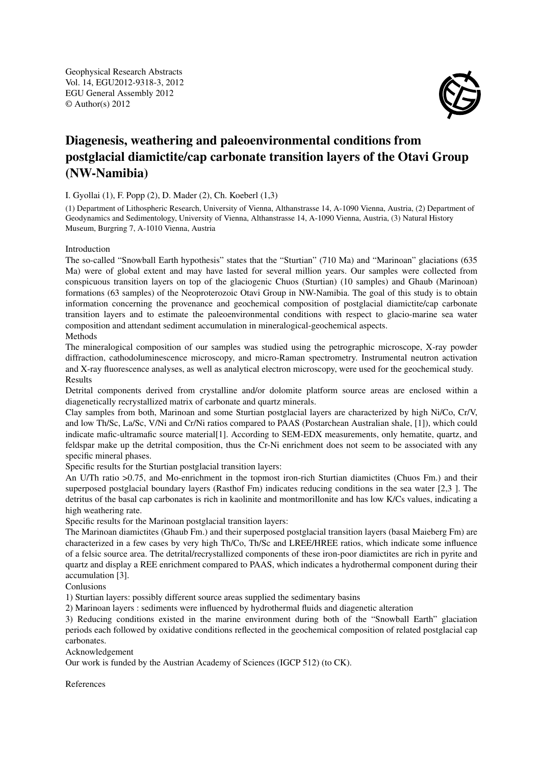Geophysical Research Abstracts Vol. 14, EGU2012-9318-3, 2012 EGU General Assembly 2012 © Author(s) 2012



## Diagenesis, weathering and paleoenvironmental conditions from postglacial diamictite/cap carbonate transition layers of the Otavi Group (NW-Namibia)

## I. Gyollai (1), F. Popp (2), D. Mader (2), Ch. Koeberl (1,3)

(1) Department of Lithospheric Research, University of Vienna, Althanstrasse 14, A-1090 Vienna, Austria, (2) Department of Geodynamics and Sedimentology, University of Vienna, Althanstrasse 14, A-1090 Vienna, Austria, (3) Natural History Museum, Burgring 7, A-1010 Vienna, Austria

## Introduction

The so-called "Snowball Earth hypothesis" states that the "Sturtian" (710 Ma) and "Marinoan" glaciations (635 Ma) were of global extent and may have lasted for several million years. Our samples were collected from conspicuous transition layers on top of the glaciogenic Chuos (Sturtian) (10 samples) and Ghaub (Marinoan) formations (63 samples) of the Neoproterozoic Otavi Group in NW-Namibia. The goal of this study is to obtain information concerning the provenance and geochemical composition of postglacial diamictite/cap carbonate transition layers and to estimate the paleoenvironmental conditions with respect to glacio-marine sea water composition and attendant sediment accumulation in mineralogical-geochemical aspects. Methods

The mineralogical composition of our samples was studied using the petrographic microscope, X-ray powder diffraction, cathodoluminescence microscopy, and micro-Raman spectrometry. Instrumental neutron activation and X-ray fluorescence analyses, as well as analytical electron microscopy, were used for the geochemical study. Results

Detrital components derived from crystalline and/or dolomite platform source areas are enclosed within a diagenetically recrystallized matrix of carbonate and quartz minerals.

Clay samples from both, Marinoan and some Sturtian postglacial layers are characterized by high Ni/Co, Cr/V, and low Th/Sc, La/Sc, V/Ni and Cr/Ni ratios compared to PAAS (Postarchean Australian shale, [1]), which could indicate mafic-ultramafic source material[1]. According to SEM-EDX measurements, only hematite, quartz, and feldspar make up the detrital composition, thus the Cr-Ni enrichment does not seem to be associated with any specific mineral phases.

Specific results for the Sturtian postglacial transition layers:

An U/Th ratio >0.75, and Mo-enrichment in the topmost iron-rich Sturtian diamictites (Chuos Fm.) and their superposed postglacial boundary layers (Rasthof Fm) indicates reducing conditions in the sea water [2,3 ]. The detritus of the basal cap carbonates is rich in kaolinite and montmorillonite and has low K/Cs values, indicating a high weathering rate.

Specific results for the Marinoan postglacial transition layers:

The Marinoan diamictites (Ghaub Fm.) and their superposed postglacial transition layers (basal Maieberg Fm) are characterized in a few cases by very high Th/Co, Th/Sc and LREE/HREE ratios, which indicate some influence of a felsic source area. The detrital/recrystallized components of these iron-poor diamictites are rich in pyrite and quartz and display a REE enrichment compared to PAAS, which indicates a hydrothermal component during their accumulation [3].

Conlusions

1) Sturtian layers: possibly different source areas supplied the sedimentary basins

2) Marinoan layers : sediments were influenced by hydrothermal fluids and diagenetic alteration

3) Reducing conditions existed in the marine environment during both of the "Snowball Earth" glaciation periods each followed by oxidative conditions reflected in the geochemical composition of related postglacial cap carbonates.

Acknowledgement

Our work is funded by the Austrian Academy of Sciences (IGCP 512) (to CK).

References